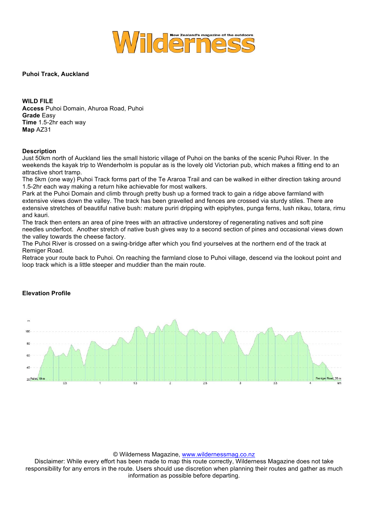

**Puhoi Track, Auckland**

**WILD FILE Access** Puhoi Domain, Ahuroa Road, Puhoi **Grade** Easy **Time** 1.5-2hr each way **Map** AZ31

## **Description**

Just 50km north of Auckland lies the small historic village of Puhoi on the banks of the scenic Puhoi River. In the weekends the kayak trip to Wenderholm is popular as is the lovely old Victorian pub, which makes a fitting end to an attractive short tramp.

The 5km (one way) Puhoi Track forms part of the Te Araroa Trail and can be walked in either direction taking around 1.5-2hr each way making a return hike achievable for most walkers.

Park at the Puhoi Domain and climb through pretty bush up a formed track to gain a ridge above farmland with extensive views down the valley. The track has been gravelled and fences are crossed via sturdy stiles. There are extensive stretches of beautiful native bush: mature puriri dripping with epiphytes, punga ferns, lush nikau, totara, rimu and kauri.

The track then enters an area of pine trees with an attractive understorey of regenerating natives and soft pine needles underfoot. Another stretch of native bush gives way to a second section of pines and occasional views down the valley towards the cheese factory.

The Puhoi River is crossed on a swing-bridge after which you find yourselves at the northern end of the track at Remiger Road.

Retrace your route back to Puhoi. On reaching the farmland close to Puhoi village, descend via the lookout point and loop track which is a little steeper and muddier than the main route.



## **Elevation Profile**

## © Wilderness Magazine, www.wildernessmag.co.nz

Disclaimer: While every effort has been made to map this route correctly, Wilderness Magazine does not take responsibility for any errors in the route. Users should use discretion when planning their routes and gather as much information as possible before departing.